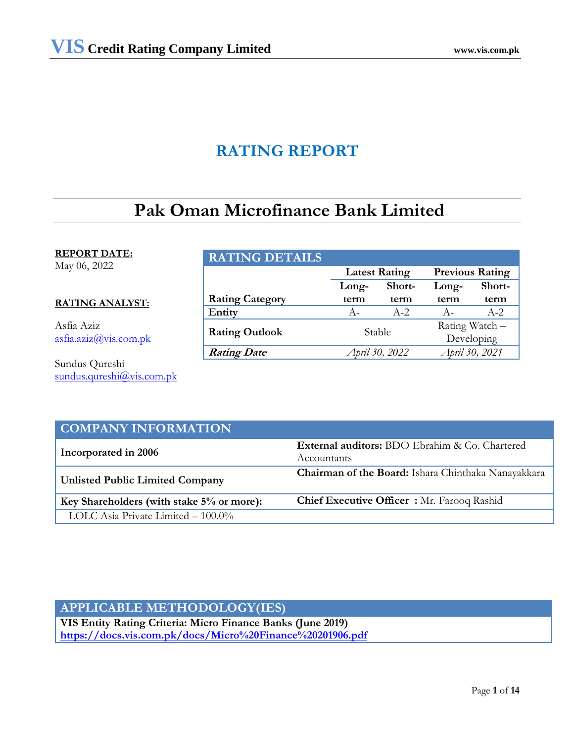# **RATING REPORT**

# **Pak Oman Microfinance Bank Limited**

# **REPORT DATE:**

May 06, 2022

# **RATING ANALYST:**

Asfia Aziz [asfia.aziz@vis.com.pk](mailto:asfia.aziz@vis.com.pk)

Sundus Qureshi [sundus.qureshi@vis.com.pk](mailto:sundus.qureshi@vis.com.pk)

# **RATING DETAILS**

|                        | <b>Latest Rating</b> |         | <b>Previous Rating</b> |                |
|------------------------|----------------------|---------|------------------------|----------------|
|                        | Long-                | Short-  | Long-                  | Short-         |
| <b>Rating Category</b> | term                 | term    | term                   | term           |
| Entity                 | $A -$                | $A - 2$ | $A -$                  | $A-2.$         |
| <b>Rating Outlook</b>  | Stable               |         |                        | Rating Watch - |
|                        |                      |         |                        | Developing     |
| <b>Rating Date</b>     | April 30, 2022       |         | April 30, 2021         |                |

# **COMPANY INFORMATION Incorporated in 2006 External auditors:** BDO Ebrahim & Co. Chartered Accountants **Unlisted Public Limited Company Chairman of the Board:** Ishara Chinthaka Nanayakkara **Key Shareholders (with stake 5% or more): Chief Executive Officer :** Mr. Farooq Rashid LOLC Asia Private Limited – 100.0%

# **APPLICABLE METHODOLOGY(IES)**

**VIS Entity Rating Criteria: Micro Finance Banks (June 2019) https://docs.vis.com.pk/docs/Micro%20Finance%20201906.pdf**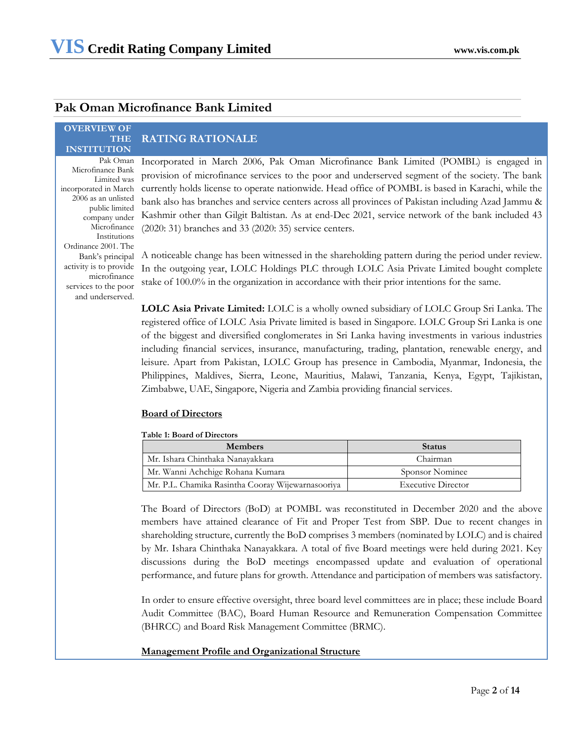# **Pak Oman Microfinance Bank Limited**

### **OVERVIEW OF THE INSTITUTION**

Microfinance Bank Limited was incorporated in March 2006 as an unlisted public limited company under Microfinance Institutions Ordinance 2001. The Bank's principal activity is to provide microfinance services to the poor and underserved.

# **RATING RATIONALE**

Pak Oman Incorporated in March 2006, Pak Oman Microfinance Bank Limited (POMBL) is engaged in provision of microfinance services to the poor and underserved segment of the society. The bank currently holds license to operate nationwide. Head office of POMBL is based in Karachi, while the bank also has branches and service centers across all provinces of Pakistan including Azad Jammu & Kashmir other than Gilgit Baltistan. As at end-Dec 2021, service network of the bank included 43 (2020: 31) branches and 33 (2020: 35) service centers.

A noticeable change has been witnessed in the shareholding pattern during the period under review. In the outgoing year, LOLC Holdings PLC through LOLC Asia Private Limited bought complete stake of 100.0% in the organization in accordance with their prior intentions for the same.

**LOLC Asia Private Limited:** LOLC is a wholly owned subsidiary of LOLC Group Sri Lanka. The registered office of LOLC Asia Private limited is based in Singapore. LOLC Group Sri Lanka is one of the biggest and diversified conglomerates in Sri Lanka having investments in various industries including financial services, insurance, manufacturing, trading, plantation, renewable energy, and leisure. Apart from Pakistan, LOLC Group has presence in Cambodia, Myanmar, Indonesia, the Philippines, Maldives, Sierra, Leone, Mauritius, Malawi, Tanzania, Kenya, Egypt, Tajikistan, Zimbabwe, UAE, Singapore, Nigeria and Zambia providing financial services.

# **Board of Directors**

## **Table 1: Board of Directors**

| <b>Members</b>                                    | <b>Status</b>             |
|---------------------------------------------------|---------------------------|
| Mr. Ishara Chinthaka Nanayakkara                  | Chairman                  |
| Mr. Wanni Achchige Rohana Kumara                  | Sponsor Nominee           |
| Mr. P.L. Chamika Rasintha Cooray Wijewarnasooriya | <b>Executive Director</b> |

The Board of Directors (BoD) at POMBL was reconstituted in December 2020 and the above members have attained clearance of Fit and Proper Test from SBP. Due to recent changes in shareholding structure, currently the BoD comprises 3 members (nominated by LOLC) and is chaired by Mr. Ishara Chinthaka Nanayakkara. A total of five Board meetings were held during 2021. Key discussions during the BoD meetings encompassed update and evaluation of operational performance, and future plans for growth. Attendance and participation of members was satisfactory.

In order to ensure effective oversight, three board level committees are in place; these include Board Audit Committee (BAC), Board Human Resource and Remuneration Compensation Committee (BHRCC) and Board Risk Management Committee (BRMC).

# **Management Profile and Organizational Structure**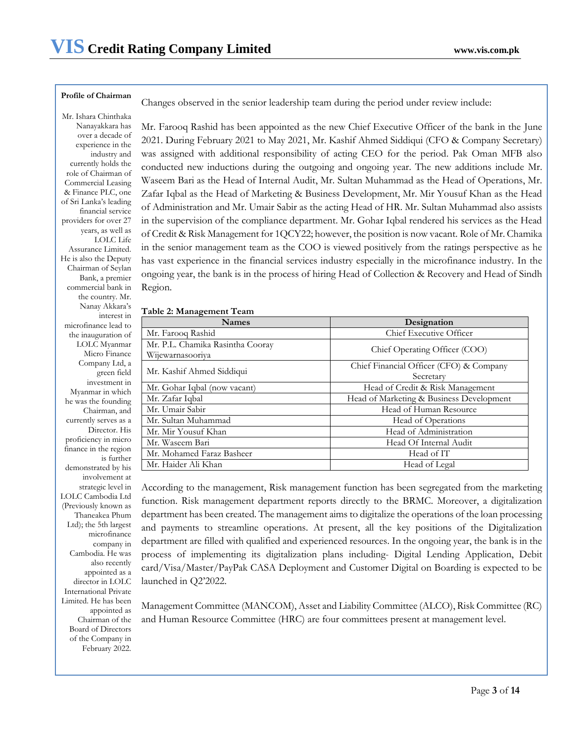### **Profile of Chairman**

Changes observed in the senior leadership team during the period under review include:

Mr. Ishara Chinthaka Nanayakkara has over a decade of experience in the industry and currently holds the role of Chairman of Commercial Leasing & Finance PLC, one of Sri Lanka's leading financial service providers for over 27 years, as well as LOLC Life Assurance Limited. He is also the Deputy Chairman of Seylan Bank, a premier commercial bank in the country. Mr. Nanay Akkara's interest in microfinance lead to the inauguration of LOLC Myanmar Micro Finance Company Ltd, a green field investment in Myanmar in which he was the founding Chairman, and currently serves as a Director. His proficiency in micro finance in the region is further demonstrated by his involvement at strategic level in LOLC Cambodia Ltd (Previously known as Thaneakea Phum Ltd); the 5th largest microfinance company in Cambodia. He was also recently appointed as a director in LOLC International Private Limited. He has been appointed as Chairman of the Board of Directors of the Company in February 2022.

Mr. Farooq Rashid has been appointed as the new Chief Executive Officer of the bank in the June 2021. During February 2021 to May 2021, Mr. Kashif Ahmed Siddiqui (CFO & Company Secretary) was assigned with additional responsibility of acting CEO for the period. Pak Oman MFB also conducted new inductions during the outgoing and ongoing year. The new additions include Mr. Waseem Bari as the Head of Internal Audit, Mr. Sultan Muhammad as the Head of Operations, Mr. Zafar Iqbal as the Head of Marketing & Business Development, Mr. Mir Yousuf Khan as the Head of Administration and Mr. Umair Sabir as the acting Head of HR. Mr. Sultan Muhammad also assists in the supervision of the compliance department. Mr. Gohar Iqbal rendered his services as the Head of Credit & Risk Management for 1QCY22; however, the position is now vacant. Role of Mr. Chamika in the senior management team as the COO is viewed positively from the ratings perspective as he has vast experience in the financial services industry especially in the microfinance industry. In the ongoing year, the bank is in the process of hiring Head of Collection & Recovery and Head of Sindh Region.

|  | Table 2: Management Team |  |
|--|--------------------------|--|
|--|--------------------------|--|

| <b>Names</b>                                         | Designation                                          |
|------------------------------------------------------|------------------------------------------------------|
| Mr. Farooq Rashid                                    | Chief Executive Officer                              |
| Mr. P.L. Chamika Rasintha Cooray<br>Wijewarnasooriya | Chief Operating Officer (COO)                        |
| Mr. Kashif Ahmed Siddiqui                            | Chief Financial Officer (CFO) & Company<br>Secretary |
| Mr. Gohar Iqbal (now vacant)                         | Head of Credit & Risk Management                     |
| Mr. Zafar Iqbal                                      | Head of Marketing & Business Development             |
| Mr. Umair Sabir                                      | Head of Human Resource                               |
| Mr. Sultan Muhammad                                  | Head of Operations                                   |
| Mr. Mir Yousuf Khan                                  | Head of Administration                               |
| Mr. Waseem Bari                                      | Head Of Internal Audit                               |
| Mr. Mohamed Faraz Basheer                            | Head of IT                                           |
| Mr. Haider Ali Khan                                  | Head of Legal                                        |

According to the management, Risk management function has been segregated from the marketing function. Risk management department reports directly to the BRMC. Moreover, a digitalization department has been created. The management aims to digitalize the operations of the loan processing and payments to streamline operations. At present, all the key positions of the Digitalization department are filled with qualified and experienced resources. In the ongoing year, the bank is in the process of implementing its digitalization plans including- Digital Lending Application, Debit card/Visa/Master/PayPak CASA Deployment and Customer Digital on Boarding is expected to be launched in Q2'2022.

Management Committee (MANCOM), Asset and Liability Committee (ALCO), Risk Committee (RC) and Human Resource Committee (HRC) are four committees present at management level.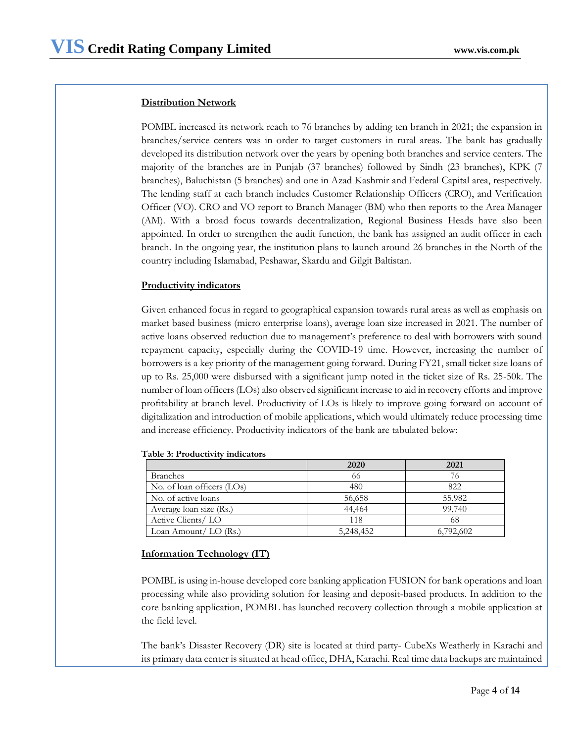# **Distribution Network**

POMBL increased its network reach to 76 branches by adding ten branch in 2021; the expansion in branches/service centers was in order to target customers in rural areas. The bank has gradually developed its distribution network over the years by opening both branches and service centers. The majority of the branches are in Punjab (37 branches) followed by Sindh (23 branches), KPK (7 branches), Baluchistan (5 branches) and one in Azad Kashmir and Federal Capital area, respectively. The lending staff at each branch includes Customer Relationship Officers (CRO), and Verification Officer (VO). CRO and VO report to Branch Manager (BM) who then reports to the Area Manager (AM). With a broad focus towards decentralization, Regional Business Heads have also been appointed. In order to strengthen the audit function, the bank has assigned an audit officer in each branch. In the ongoing year, the institution plans to launch around 26 branches in the North of the country including Islamabad, Peshawar, Skardu and Gilgit Baltistan.

# **Productivity indicators**

Given enhanced focus in regard to geographical expansion towards rural areas as well as emphasis on market based business (micro enterprise loans), average loan size increased in 2021. The number of active loans observed reduction due to management's preference to deal with borrowers with sound repayment capacity, especially during the COVID-19 time. However, increasing the number of borrowers is a key priority of the management going forward. During FY21, small ticket size loans of up to Rs. 25,000 were disbursed with a significant jump noted in the ticket size of Rs. 25-50k. The number of loan officers (LOs) also observed significant increase to aid in recovery efforts and improve profitability at branch level. Productivity of LOs is likely to improve going forward on account of digitalization and introduction of mobile applications, which would ultimately reduce processing time and increase efficiency. Productivity indicators of the bank are tabulated below:

|                            | 2020      | 2021      |
|----------------------------|-----------|-----------|
| <b>Branches</b>            | 66        | 76        |
| No. of loan officers (LOs) | 480       | 822       |
| No. of active loans        | 56,658    | 55,982    |
| Average loan size (Rs.)    | 44,464    | 99,740    |
| Active Clients/LO          | 118       | 68        |
| Loan Amount/ $LO$ (Rs.)    | 5,248,452 | 6,792,602 |

|  |  |  |  | Table 3: Productivity indicators |
|--|--|--|--|----------------------------------|
|--|--|--|--|----------------------------------|

## **Information Technology (IT)**

POMBL is using in-house developed core banking application FUSION for bank operations and loan processing while also providing solution for leasing and deposit-based products. In addition to the core banking application, POMBL has launched recovery collection through a mobile application at the field level.

The bank's Disaster Recovery (DR) site is located at third party- CubeXs Weatherly in Karachi and its primary data center is situated at head office, DHA, Karachi. Real time data backups are maintained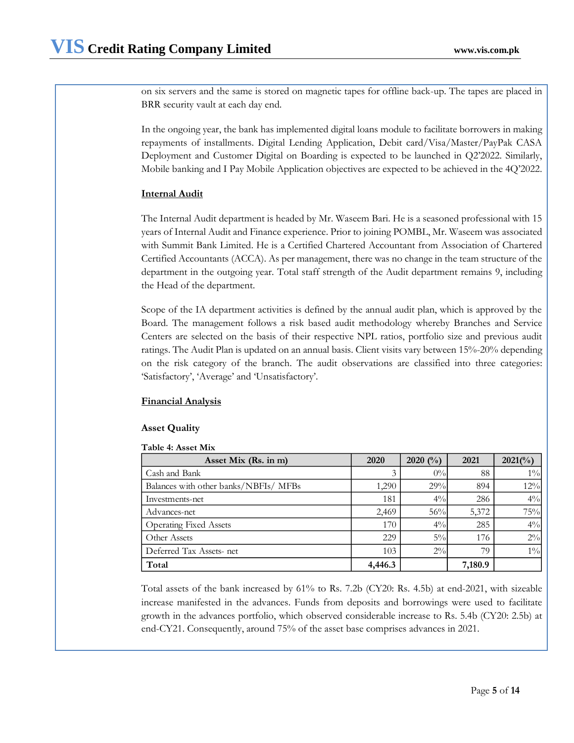on six servers and the same is stored on magnetic tapes for offline back-up. The tapes are placed in BRR security vault at each day end.

In the ongoing year, the bank has implemented digital loans module to facilitate borrowers in making repayments of installments. Digital Lending Application, Debit card/Visa/Master/PayPak CASA Deployment and Customer Digital on Boarding is expected to be launched in Q2'2022. Similarly, Mobile banking and I Pay Mobile Application objectives are expected to be achieved in the 4Q'2022.

# **Internal Audit**

The Internal Audit department is headed by Mr. Waseem Bari. He is a seasoned professional with 15 years of Internal Audit and Finance experience. Prior to joining POMBL, Mr. Waseem was associated with Summit Bank Limited. He is a Certified Chartered Accountant from Association of Chartered Certified Accountants (ACCA). As per management, there was no change in the team structure of the department in the outgoing year. Total staff strength of the Audit department remains 9, including the Head of the department.

Scope of the IA department activities is defined by the annual audit plan, which is approved by the Board. The management follows a risk based audit methodology whereby Branches and Service Centers are selected on the basis of their respective NPL ratios, portfolio size and previous audit ratings. The Audit Plan is updated on an annual basis. Client visits vary between 15%-20% depending on the risk category of the branch. The audit observations are classified into three categories: 'Satisfactory', 'Average' and 'Unsatisfactory'.

# **Financial Analysis**

# **Asset Quality**

# **Table 4: Asset Mix**

| Asset Mix (Rs. in m)                  | 2020    | 2020 $($ %) | 2021    | $2021(^{o}/_0)$ |
|---------------------------------------|---------|-------------|---------|-----------------|
| Cash and Bank                         | 3       | $0\%$       | 88      | $1\%$           |
| Balances with other banks/NBFIs/ MFBs | 1,290   | 29%         | 894     | 12%             |
| Investments-net                       | 181     | $4\%$       | 286     | $4\%$           |
| Advances-net                          | 2,469   | 56%         | 5,372   | 75%             |
| <b>Operating Fixed Assets</b>         | 170     | $4\%$       | 285     | $4\%$           |
| Other Assets                          | 229     | $5\%$       | 176     | $2\%$           |
| Deferred Tax Assets- net              | 103     | $2\%$       | 79      | $1\%$           |
| Total                                 | 4,446.3 |             | 7,180.9 |                 |

Total assets of the bank increased by 61% to Rs. 7.2b (CY20: Rs. 4.5b) at end-2021, with sizeable increase manifested in the advances. Funds from deposits and borrowings were used to facilitate growth in the advances portfolio, which observed considerable increase to Rs. 5.4b (CY20: 2.5b) at end-CY21. Consequently, around 75% of the asset base comprises advances in 2021.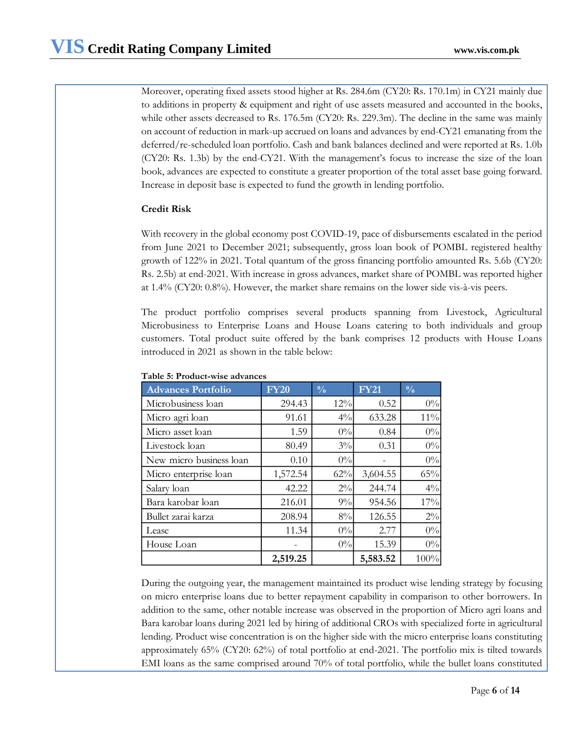Moreover, operating fixed assets stood higher at Rs. 284.6m (CY20: Rs. 170.1m) in CY21 mainly due to additions in property & equipment and right of use assets measured and accounted in the books, while other assets decreased to Rs. 176.5m (CY20: Rs. 229.3m). The decline in the same was mainly on account of reduction in mark-up accrued on loans and advances by end-CY21 emanating from the deferred/re-scheduled loan portfolio. Cash and bank balances declined and were reported at Rs. 1.0b (CY20: Rs. 1.3b) by the end-CY21. With the management's focus to increase the size of the loan book, advances are expected to constitute a greater proportion of the total asset base going forward. Increase in deposit base is expected to fund the growth in lending portfolio.

# **Credit Risk**

With recovery in the global economy post COVID-19, pace of disbursements escalated in the period from June 2021 to December 2021; subsequently, gross loan book of POMBL registered healthy growth of 122% in 2021. Total quantum of the gross financing portfolio amounted Rs. 5.6b (CY20: Rs. 2.5b) at end-2021. With increase in gross advances, market share of POMBL was reported higher at 1.4% (CY20: 0.8%). However, the market share remains on the lower side vis-à-vis peers.

The product portfolio comprises several products spanning from Livestock, Agricultural Microbusiness to Enterprise Loans and House Loans catering to both individuals and group customers. Total product suite offered by the bank comprises 12 products with House Loans introduced in 2021 as shown in the table below:

| <b>Advances Portfolio</b> | <b>FY20</b> | $\frac{0}{0}$ | <b>FY21</b> | $\frac{0}{0}$ |
|---------------------------|-------------|---------------|-------------|---------------|
| Microbusiness loan        | 294.43      | 12%           | 0.52        | $0\%$         |
| Micro agri loan           | 91.61       | $4\%$         | 633.28      | $11\%$        |
| Micro asset loan          | 1.59        | 0%            | 0.84        | $0\%$         |
| Livestock loan            | 80.49       | $3\%$         | 0.31        | $0\%$         |
| New micro business loan   | 0.10        | 0%            |             | $0\%$         |
| Micro enterprise loan     | 1,572.54    | 62%           | 3,604.55    | 65%           |
| Salary loan               | 42.22       | $2\%$         | 244.74      | $4\%$         |
| Bara karobar loan         | 216.01      | 9%            | 954.56      | 17%           |
| Bullet zarai karza        | 208.94      | 8%            | 126.55      | $2\%$         |
| Lease                     | 11.34       | 0%            | 2.77        | $0\%$         |
| House Loan                |             | 0%            | 15.39       | $0\%$         |
|                           | 2,519.25    |               | 5,583.52    | 100%          |

## **Table 5: Product-wise advances**

During the outgoing year, the management maintained its product wise lending strategy by focusing on micro enterprise loans due to better repayment capability in comparison to other borrowers. In addition to the same, other notable increase was observed in the proportion of Micro agri loans and Bara karobar loans during 2021 led by hiring of additional CROs with specialized forte in agricultural lending. Product wise concentration is on the higher side with the micro enterprise loans constituting approximately 65% (CY20: 62%) of total portfolio at end-2021. The portfolio mix is tilted towards EMI loans as the same comprised around 70% of total portfolio, while the bullet loans constituted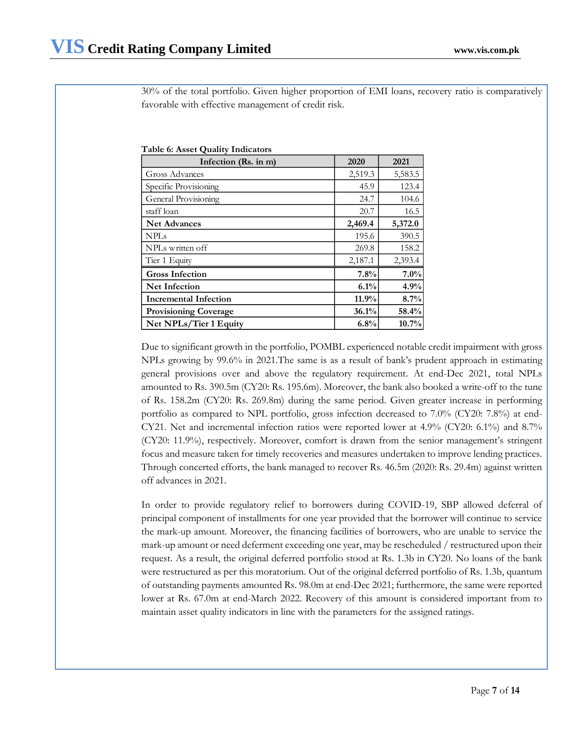30% of the total portfolio. Given higher proportion of EMI loans, recovery ratio is comparatively favorable with effective management of credit risk.

**Table 6: Asset Quality Indicators**

| Infection (Rs. in m)         | 2020    | 2021    |
|------------------------------|---------|---------|
| Gross Advances               | 2,519.3 | 5,583.5 |
| Specific Provisioning        | 45.9    | 123.4   |
| General Provisioning         | 24.7    | 104.6   |
| staff loan                   | 20.7    | 16.5    |
| <b>Net Advances</b>          | 2,469.4 | 5,372.0 |
| <b>NPLs</b>                  | 195.6   | 390.5   |
| NPLs written off             | 269.8   | 158.2   |
| Tier 1 Equity                | 2,187.1 | 2,393.4 |
| <b>Gross Infection</b>       | 7.8%    | 7.0%    |
| <b>Net Infection</b>         | 6.1%    | 4.9%    |
| <b>Incremental Infection</b> | 11.9%   | 8.7%    |
| <b>Provisioning Coverage</b> | 36.1%   | 58.4%   |
| Net NPLs/Tier 1 Equity       | 6.8%    | 10.7%   |

Due to significant growth in the portfolio, POMBL experienced notable credit impairment with gross NPLs growing by 99.6% in 2021.The same is as a result of bank's prudent approach in estimating general provisions over and above the regulatory requirement. At end-Dec 2021, total NPLs amounted to Rs. 390.5m (CY20: Rs. 195.6m). Moreover, the bank also booked a write-off to the tune of Rs. 158.2m (CY20: Rs. 269.8m) during the same period. Given greater increase in performing portfolio as compared to NPL portfolio, gross infection decreased to 7.0% (CY20: 7.8%) at end-CY21. Net and incremental infection ratios were reported lower at 4.9% (CY20: 6.1%) and 8.7% (CY20: 11.9%), respectively. Moreover, comfort is drawn from the senior management's stringent focus and measure taken for timely recoveries and measures undertaken to improve lending practices. Through concerted efforts, the bank managed to recover Rs. 46.5m (2020: Rs. 29.4m) against written off advances in 2021.

In order to provide regulatory relief to borrowers during COVID-19, SBP allowed deferral of principal component of installments for one year provided that the borrower will continue to service the mark-up amount. Moreover, the financing facilities of borrowers, who are unable to service the mark-up amount or need deferment exceeding one year, may be rescheduled / restructured upon their request. As a result, the original deferred portfolio stood at Rs. 1.3b in CY20. No loans of the bank were restructured as per this moratorium. Out of the original deferred portfolio of Rs. 1.3b, quantum of outstanding payments amounted Rs. 98.0m at end-Dec 2021; furthermore, the same were reported lower at Rs. 67.0m at end-March 2022. Recovery of this amount is considered important from to maintain asset quality indicators in line with the parameters for the assigned ratings.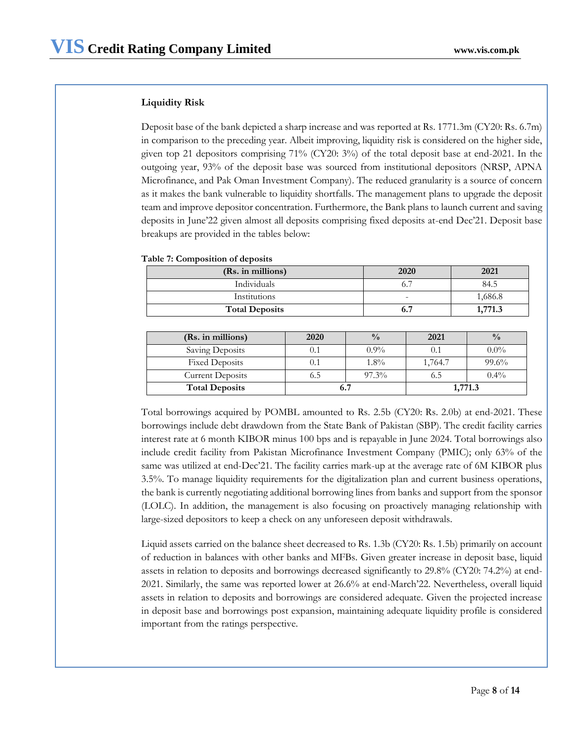## **Liquidity Risk**

Deposit base of the bank depicted a sharp increase and was reported at Rs. 1771.3m (CY20: Rs. 6.7m) in comparison to the preceding year. Albeit improving, liquidity risk is considered on the higher side, given top 21 depositors comprising 71% (CY20: 3%) of the total deposit base at end-2021. In the outgoing year, 93% of the deposit base was sourced from institutional depositors (NRSP, APNA Microfinance, and Pak Oman Investment Company). The reduced granularity is a source of concern as it makes the bank vulnerable to liquidity shortfalls. The management plans to upgrade the deposit team and improve depositor concentration. Furthermore, the Bank plans to launch current and saving deposits in June'22 given almost all deposits comprising fixed deposits at-end Dec'21. Deposit base breakups are provided in the tables below:

## **Table 7: Composition of deposits**

| (Rs. in millions)     | 2020 | 2021    |
|-----------------------|------|---------|
| Individuals           |      | 84.5    |
| Institutions          | -    | 1,686.8 |
| <b>Total Deposits</b> |      | 771 3   |

| (Rs. in millions)       | 2020 | $\frac{0}{0}$ | 2021    | $\frac{0}{0}$ |
|-------------------------|------|---------------|---------|---------------|
| Saving Deposits         | 0.1  | $0.9\%$       | 0.1     | $0.0\%$       |
| <b>Fixed Deposits</b>   | 0.1  | $1.8\%$       | 1,764.7 | 99.6%         |
| <b>Current Deposits</b> |      | $97.3\%$      | 6.5     | $0.4\%$       |
| <b>Total Deposits</b>   |      |               | 1,771.3 |               |

Total borrowings acquired by POMBL amounted to Rs. 2.5b (CY20: Rs. 2.0b) at end-2021. These borrowings include debt drawdown from the State Bank of Pakistan (SBP). The credit facility carries interest rate at 6 month KIBOR minus 100 bps and is repayable in June 2024. Total borrowings also include credit facility from Pakistan Microfinance Investment Company (PMIC); only 63% of the same was utilized at end-Dec'21. The facility carries mark-up at the average rate of 6M KIBOR plus 3.5%. To manage liquidity requirements for the digitalization plan and current business operations, the bank is currently negotiating additional borrowing lines from banks and support from the sponsor (LOLC). In addition, the management is also focusing on proactively managing relationship with large-sized depositors to keep a check on any unforeseen deposit withdrawals.

Liquid assets carried on the balance sheet decreased to Rs. 1.3b (CY20: Rs. 1.5b) primarily on account of reduction in balances with other banks and MFBs. Given greater increase in deposit base, liquid assets in relation to deposits and borrowings decreased significantly to 29.8% (CY20: 74.2%) at end-2021. Similarly, the same was reported lower at 26.6% at end-March'22. Nevertheless, overall liquid assets in relation to deposits and borrowings are considered adequate. Given the projected increase in deposit base and borrowings post expansion, maintaining adequate liquidity profile is considered important from the ratings perspective.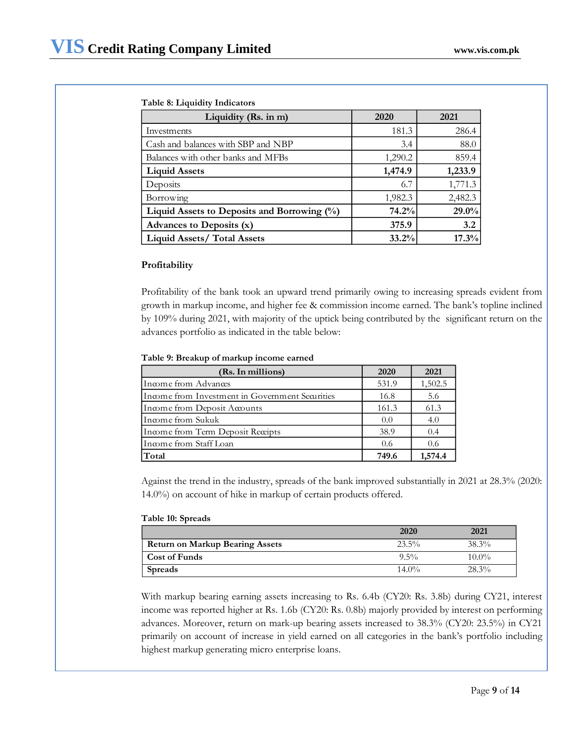## **Table 8: Liquidity Indicators**

| Liquidity (Rs. in m)                           | 2020    | 2021     |
|------------------------------------------------|---------|----------|
| Investments                                    | 181.3   | 286.4    |
| Cash and balances with SBP and NBP             | 3.4     | 88.0     |
| Balances with other banks and MFBs             | 1,290.2 | 859.4    |
| <b>Liquid Assets</b>                           | 1,474.9 | 1,233.9  |
| Deposits                                       | 6.7     | 1,771.3  |
| Borrowing                                      | 1,982.3 | 2,482.3  |
| Liquid Assets to Deposits and Borrowing $(\%)$ | 74.2%   | $29.0\%$ |
| Advances to Deposits (x)                       | 375.9   | 3.2      |
| <b>Liquid Assets/ Total Assets</b>             | 33.2%   | 17.3%    |

## **Profitability**

Profitability of the bank took an upward trend primarily owing to increasing spreads evident from growth in markup income, and higher fee & commission income earned. The bank's topline inclined by 109% during 2021, with majority of the uptick being contributed by the significant return on the advances portfolio as indicated in the table below:

### **Table 9: Breakup of markup income earned**

| (Rs. In millions)                               | 2020  | 2021    |
|-------------------------------------------------|-------|---------|
| Income from Advances                            | 531.9 | 1,502.5 |
| Income from Investment in Government Securities | 16.8  | 5.6     |
| Income from Deposit Accounts                    | 161.3 | 61.3    |
| Income from Sukuk                               | 0.0   | 4.0     |
| Income from Term Deposit Receipts               | 38.9  | 0.4     |
| Income from Staff Loan                          | 0.6   | 0.6     |
| Total                                           | 749.6 | 1,574.4 |

Against the trend in the industry, spreads of the bank improved substantially in 2021 at 28.3% (2020: 14.0%) on account of hike in markup of certain products offered.

### **Table 10: Spreads**

|                                        | 2020     | 2021     |
|----------------------------------------|----------|----------|
| <b>Return on Markup Bearing Assets</b> | 23.5%    | $38.3\%$ |
| <b>Cost of Funds</b>                   | $9.5\%$  | $10.0\%$ |
| Spreads                                | $14.0\%$ | $28.3\%$ |

With markup bearing earning assets increasing to Rs. 6.4b (CY20: Rs. 3.8b) during CY21, interest income was reported higher at Rs. 1.6b (CY20: Rs. 0.8b) majorly provided by interest on performing advances. Moreover, return on mark-up bearing assets increased to 38.3% (CY20: 23.5%) in CY21 primarily on account of increase in yield earned on all categories in the bank's portfolio including highest markup generating micro enterprise loans.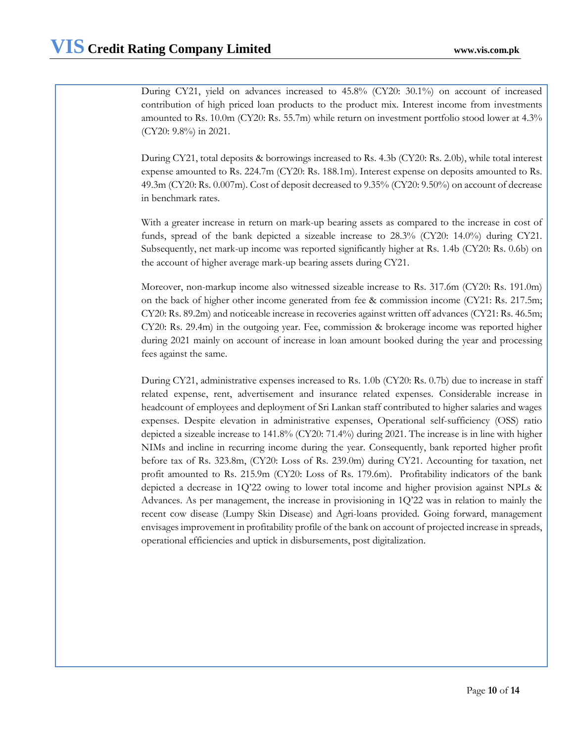During CY21, yield on advances increased to 45.8% (CY20: 30.1%) on account of increased contribution of high priced loan products to the product mix. Interest income from investments amounted to Rs. 10.0m (CY20: Rs. 55.7m) while return on investment portfolio stood lower at 4.3% (CY20: 9.8%) in 2021.

During CY21, total deposits & borrowings increased to Rs. 4.3b (CY20: Rs. 2.0b), while total interest expense amounted to Rs. 224.7m (CY20: Rs. 188.1m). Interest expense on deposits amounted to Rs. 49.3m (CY20: Rs. 0.007m). Cost of deposit decreased to 9.35% (CY20: 9.50%) on account of decrease in benchmark rates.

With a greater increase in return on mark-up bearing assets as compared to the increase in cost of funds, spread of the bank depicted a sizeable increase to 28.3% (CY20: 14.0%) during CY21*.* Subsequently, net mark-up income was reported significantly higher at Rs. 1.4b (CY20: Rs. 0.6b) on the account of higher average mark-up bearing assets during CY21.

Moreover, non-markup income also witnessed sizeable increase to Rs. 317.6m (CY20: Rs. 191.0m) on the back of higher other income generated from fee & commission income (CY21: Rs. 217.5m; CY20: Rs. 89.2m) and noticeable increase in recoveries against written off advances (CY21: Rs. 46.5m; CY20: Rs. 29.4m) in the outgoing year. Fee, commission & brokerage income was reported higher during 2021 mainly on account of increase in loan amount booked during the year and processing fees against the same.

During CY21, administrative expenses increased to Rs. 1.0b (CY20: Rs. 0.7b) due to increase in staff related expense, rent, advertisement and insurance related expenses. Considerable increase in headcount of employees and deployment of Sri Lankan staff contributed to higher salaries and wages expenses. Despite elevation in administrative expenses, Operational self-sufficiency (OSS) ratio depicted a sizeable increase to 141.8% (CY20: 71.4%) during 2021. The increase is in line with higher NIMs and incline in recurring income during the year. Consequently, bank reported higher profit before tax of Rs. 323.8m, (CY20: Loss of Rs. 239.0m) during CY21. Accounting for taxation, net profit amounted to Rs. 215.9m (CY20: Loss of Rs. 179.6m). Profitability indicators of the bank depicted a decrease in 1Q'22 owing to lower total income and higher provision against NPLs & Advances. As per management, the increase in provisioning in 1Q'22 was in relation to mainly the recent cow disease (Lumpy Skin Disease) and Agri-loans provided. Going forward, management envisages improvement in profitability profile of the bank on account of projected increase in spreads, operational efficiencies and uptick in disbursements, post digitalization.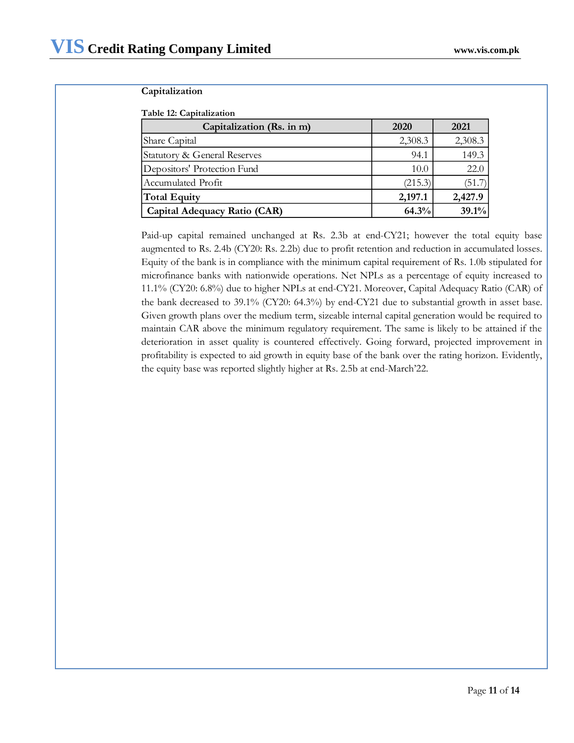# **Capitalization**

# **Table 12: Capitalization**

| Capitalization (Rs. in m)    | 2020    | 2021    |
|------------------------------|---------|---------|
| Share Capital                | 2,308.3 | 2,308.3 |
| Statutory & General Reserves | 94.1    | 149.3   |
| Depositors' Protection Fund  | 10.0    | 22.0    |
| Accumulated Profit           | (215.3) | (51.7)  |
| Total Equity                 | 2,197.1 | 2,427.9 |
| Capital Adequacy Ratio (CAR) | 64.3%   | 39.1%   |

Paid-up capital remained unchanged at Rs. 2.3b at end-CY21; however the total equity base augmented to Rs. 2.4b (CY20: Rs. 2.2b) due to profit retention and reduction in accumulated losses. Equity of the bank is in compliance with the minimum capital requirement of Rs. 1.0b stipulated for microfinance banks with nationwide operations. Net NPLs as a percentage of equity increased to 11.1% (CY20: 6.8%) due to higher NPLs at end-CY21. Moreover, Capital Adequacy Ratio (CAR) of the bank decreased to 39.1% (CY20: 64.3%) by end-CY21 due to substantial growth in asset base. Given growth plans over the medium term, sizeable internal capital generation would be required to maintain CAR above the minimum regulatory requirement. The same is likely to be attained if the deterioration in asset quality is countered effectively. Going forward, projected improvement in profitability is expected to aid growth in equity base of the bank over the rating horizon. Evidently, the equity base was reported slightly higher at Rs. 2.5b at end-March'22.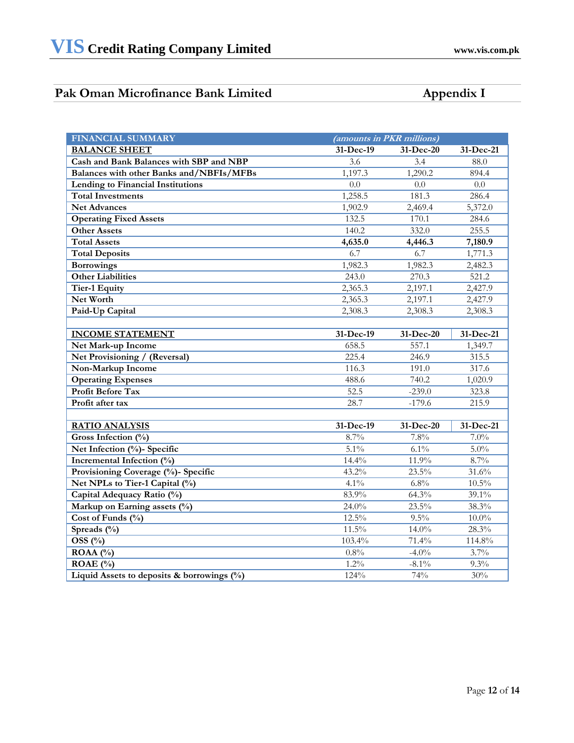# Pak Oman Microfinance Bank Limited **Appendix I**

| <b>FINANCIAL SUMMARY</b>                      | (amounts in PKR millions) |           |              |
|-----------------------------------------------|---------------------------|-----------|--------------|
| <b>BALANCE SHEET</b>                          | 31-Dec-19                 | 31-Dec-20 | 31-Dec-21    |
| Cash and Bank Balances with SBP and NBP       | $\overline{3.6}$          | 3.4       | 88.0         |
| Balances with other Banks and/NBFIs/MFBs      | 1,197.3                   | 1,290.2   | 894.4        |
| Lending to Financial Institutions             | 0.0                       | 0.0       | 0.0          |
| <b>Total Investments</b>                      | 1,258.5                   | 181.3     | 286.4        |
| <b>Net Advances</b>                           | 1,902.9                   | 2,469.4   | 5,372.0      |
| <b>Operating Fixed Assets</b>                 | 132.5                     | 170.1     | 284.6        |
| <b>Other Assets</b>                           | 140.2                     | 332.0     | 255.5        |
| <b>Total Assets</b>                           | 4,635.0                   | 4,446.3   | 7,180.9      |
| <b>Total Deposits</b>                         | 6.7                       | 6.7       | 1,771.3      |
| <b>Borrowings</b>                             | 1,982.3                   | 1,982.3   | 2,482.3      |
| <b>Other Liabilities</b>                      | 243.0                     | 270.3     | 521.2        |
| Tier-1 Equity                                 | 2,365.3                   | 2,197.1   | 2,427.9      |
| Net Worth                                     | 2,365.3                   | 2,197.1   | 2,427.9      |
| Paid-Up Capital                               | 2,308.3                   | 2,308.3   | 2,308.3      |
|                                               |                           |           |              |
| <b>INCOME STATEMENT</b>                       | 31-Dec-19                 | 31-Dec-20 | 31-Dec-21    |
| Net Mark-up Income                            | 658.5                     | 557.1     | 1,349.7      |
| Net Provisioning / (Reversal)                 | 225.4                     | 246.9     | 315.5        |
| Non-Markup Income                             | 116.3                     | 191.0     | 317.6        |
| <b>Operating Expenses</b>                     | 488.6                     | 740.2     | 1,020.9      |
| <b>Profit Before Tax</b>                      | 52.5                      | $-239.0$  | 323.8        |
| Profit after tax                              | 28.7                      | $-179.6$  | 215.9        |
|                                               |                           |           |              |
| <b>RATIO ANALYSIS</b>                         | 31-Dec-19                 | 31-Dec-20 | $31$ -Dec-21 |
| Gross Infection $(\%)$                        | 8.7%                      | 7.8%      | 7.0%         |
| Net Infection (%)- Specific                   | $5.1\%$                   | $6.1\%$   | $5.0\%$      |
| Incremental Infection (%)                     | 14.4%                     | 11.9%     | 8.7%         |
| Provisioning Coverage (%)- Specific           | 43.2%                     | 23.5%     | 31.6%        |
| Net NPLs to Tier-1 Capital (%)                | 4.1%                      | 6.8%      | $10.5\%$     |
| Capital Adequacy Ratio (%)                    | 83.9%                     | 64.3%     | $39.1\%$     |
| Markup on Earning assets (%)                  | 24.0%                     | 23.5%     | 38.3%        |
| Cost of Funds (%)                             | 12.5%                     | 9.5%      | $10.0\%$     |
| Spreads $(\%)$                                | 11.5%                     | $14.0\%$  | 28.3%        |
| OSS $(\% )$                                   | 103.4%                    | 71.4%     | 114.8%       |
| ROAA $(%)$                                    | $0.8\%$                   | $-4.0\%$  | 3.7%         |
| ROAE $(\% )$                                  | 1.2%                      | $-8.1\%$  | 9.3%         |
| Liquid Assets to deposits & borrowings $(\%)$ | 124%                      | 74%       | 30%          |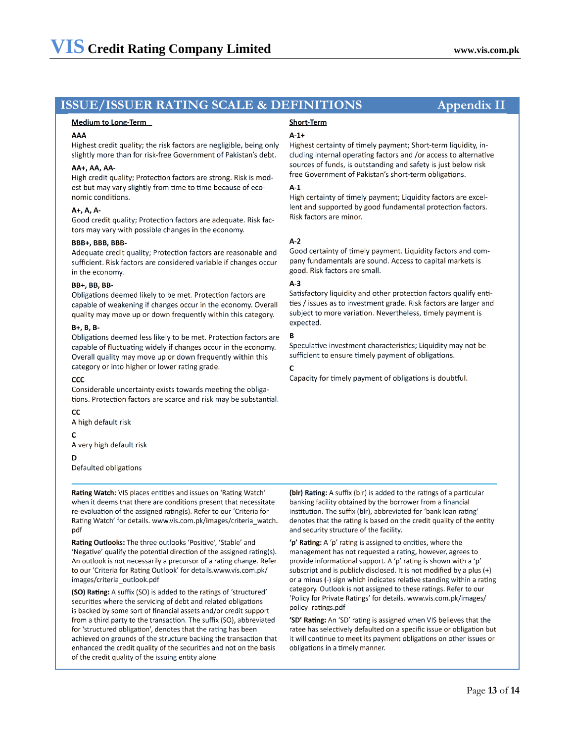# **ISSUE/ISSUER RATING SCALE & DEFINITIONS** Appendix II

#### Medium to Long-Term

#### **AAA**

Highest credit quality; the risk factors are negligible, being only slightly more than for risk-free Government of Pakistan's debt.

#### AA+, AA, AA-

High credit quality; Protection factors are strong. Risk is modest but may vary slightly from time to time because of economic conditions.

#### A+, A, A-

Good credit quality; Protection factors are adequate. Risk factors may vary with possible changes in the economy.

#### BBB+, BBB, BBB-

Adequate credit quality; Protection factors are reasonable and sufficient. Risk factors are considered variable if changes occur in the economy.

#### **BB+, BB, BB-**

Obligations deemed likely to be met. Protection factors are capable of weakening if changes occur in the economy. Overall quality may move up or down frequently within this category.

#### $B+$ ,  $B$ ,  $B-$

Obligations deemed less likely to be met. Protection factors are capable of fluctuating widely if changes occur in the economy. Overall quality may move up or down frequently within this category or into higher or lower rating grade.

#### CCC

Considerable uncertainty exists towards meeting the obligations. Protection factors are scarce and risk may be substantial.

#### CC

A high default risk

#### $\mathsf{C}$

A very high default risk

#### D

Defaulted obligations

Rating Watch: VIS places entities and issues on 'Rating Watch' when it deems that there are conditions present that necessitate re-evaluation of the assigned rating(s). Refer to our 'Criteria for Rating Watch' for details. www.vis.com.pk/images/criteria watch. pdf

Rating Outlooks: The three outlooks 'Positive', 'Stable' and 'Negative' qualify the potential direction of the assigned rating(s). An outlook is not necessarily a precursor of a rating change. Refer to our 'Criteria for Rating Outlook' for details.www.vis.com.pk/ images/criteria outlook.pdf

(SO) Rating: A suffix (SO) is added to the ratings of 'structured' securities where the servicing of debt and related obligations is backed by some sort of financial assets and/or credit support from a third party to the transaction. The suffix (SO), abbreviated for 'structured obligation', denotes that the rating has been achieved on grounds of the structure backing the transaction that enhanced the credit quality of the securities and not on the basis of the credit quality of the issuing entity alone.

# **Short-Term**

#### $A-1+$

Highest certainty of timely payment; Short-term liquidity, including internal operating factors and /or access to alternative sources of funds, is outstanding and safety is just below risk free Government of Pakistan's short-term obligations.

#### $A-1$

High certainty of timely payment; Liquidity factors are excellent and supported by good fundamental protection factors. Risk factors are minor.

#### $A-2$

Good certainty of timely payment. Liquidity factors and company fundamentals are sound. Access to capital markets is good. Risk factors are small.

### $A-3$

Satisfactory liquidity and other protection factors qualify entities / issues as to investment grade. Risk factors are larger and subject to more variation. Nevertheless, timely payment is expected.

## B

Speculative investment characteristics; Liquidity may not be sufficient to ensure timely payment of obligations.

#### C

Capacity for timely payment of obligations is doubtful.

(blr) Rating: A suffix (blr) is added to the ratings of a particular banking facility obtained by the borrower from a financial institution. The suffix (blr), abbreviated for 'bank loan rating' denotes that the rating is based on the credit quality of the entity and security structure of the facility.

'p' Rating: A 'p' rating is assigned to entities, where the management has not requested a rating, however, agrees to provide informational support. A 'p' rating is shown with a 'p' subscript and is publicly disclosed. It is not modified by a plus (+) or a minus (-) sign which indicates relative standing within a rating category. Outlook is not assigned to these ratings. Refer to our 'Policy for Private Ratings' for details. www.vis.com.pk/images/ policy ratings.pdf

'SD' Rating: An 'SD' rating is assigned when VIS believes that the ratee has selectively defaulted on a specific issue or obligation but it will continue to meet its payment obligations on other issues or obligations in a timely manner.